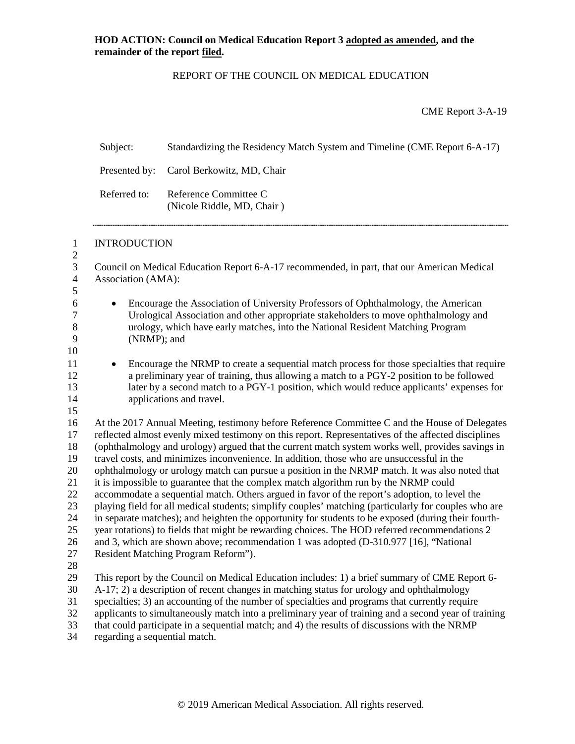# REPORT OF THE COUNCIL ON MEDICAL EDUCATION

CME Report 3-A-19

|                                                                            | Subject:                                                                                                                                                                                                                                                                                                                                                                                                                                                                                                                                                                                                                                                                                                                                                                                                                                                                                                                                                                                                                                                                                                                                         | Standardizing the Residency Match System and Timeline (CME Report 6-A-17)                                                                                                                                                                                                                                                                                                                                                                                                                             |  |  |  |
|----------------------------------------------------------------------------|--------------------------------------------------------------------------------------------------------------------------------------------------------------------------------------------------------------------------------------------------------------------------------------------------------------------------------------------------------------------------------------------------------------------------------------------------------------------------------------------------------------------------------------------------------------------------------------------------------------------------------------------------------------------------------------------------------------------------------------------------------------------------------------------------------------------------------------------------------------------------------------------------------------------------------------------------------------------------------------------------------------------------------------------------------------------------------------------------------------------------------------------------|-------------------------------------------------------------------------------------------------------------------------------------------------------------------------------------------------------------------------------------------------------------------------------------------------------------------------------------------------------------------------------------------------------------------------------------------------------------------------------------------------------|--|--|--|
|                                                                            | Presented by:                                                                                                                                                                                                                                                                                                                                                                                                                                                                                                                                                                                                                                                                                                                                                                                                                                                                                                                                                                                                                                                                                                                                    | Carol Berkowitz, MD, Chair                                                                                                                                                                                                                                                                                                                                                                                                                                                                            |  |  |  |
|                                                                            | Referred to:                                                                                                                                                                                                                                                                                                                                                                                                                                                                                                                                                                                                                                                                                                                                                                                                                                                                                                                                                                                                                                                                                                                                     | Reference Committee C<br>(Nicole Riddle, MD, Chair)                                                                                                                                                                                                                                                                                                                                                                                                                                                   |  |  |  |
| $\mathbf{1}$<br>$\boldsymbol{2}$                                           | <b>INTRODUCTION</b>                                                                                                                                                                                                                                                                                                                                                                                                                                                                                                                                                                                                                                                                                                                                                                                                                                                                                                                                                                                                                                                                                                                              |                                                                                                                                                                                                                                                                                                                                                                                                                                                                                                       |  |  |  |
| $\mathfrak{Z}$<br>$\overline{\mathcal{A}}$                                 | Association (AMA):                                                                                                                                                                                                                                                                                                                                                                                                                                                                                                                                                                                                                                                                                                                                                                                                                                                                                                                                                                                                                                                                                                                               | Council on Medical Education Report 6-A-17 recommended, in part, that our American Medical                                                                                                                                                                                                                                                                                                                                                                                                            |  |  |  |
| 5<br>6<br>$\tau$<br>$8\,$<br>9<br>10                                       | Encourage the Association of University Professors of Ophthalmology, the American<br>$\bullet$<br>Urological Association and other appropriate stakeholders to move ophthalmology and<br>urology, which have early matches, into the National Resident Matching Program<br>(NRMP); and                                                                                                                                                                                                                                                                                                                                                                                                                                                                                                                                                                                                                                                                                                                                                                                                                                                           |                                                                                                                                                                                                                                                                                                                                                                                                                                                                                                       |  |  |  |
| 11<br>12<br>13<br>14<br>15                                                 | Encourage the NRMP to create a sequential match process for those specialties that require<br>$\bullet$<br>a preliminary year of training, thus allowing a match to a PGY-2 position to be followed<br>later by a second match to a PGY-1 position, which would reduce applicants' expenses for<br>applications and travel.                                                                                                                                                                                                                                                                                                                                                                                                                                                                                                                                                                                                                                                                                                                                                                                                                      |                                                                                                                                                                                                                                                                                                                                                                                                                                                                                                       |  |  |  |
| 16<br>17<br>18<br>19<br>20<br>21<br>22<br>23<br>24<br>25<br>26<br>27<br>28 | At the 2017 Annual Meeting, testimony before Reference Committee C and the House of Delegates<br>reflected almost evenly mixed testimony on this report. Representatives of the affected disciplines<br>(ophthalmology and urology) argued that the current match system works well, provides savings in<br>travel costs, and minimizes inconvenience. In addition, those who are unsuccessful in the<br>ophthalmology or urology match can pursue a position in the NRMP match. It was also noted that<br>it is impossible to guarantee that the complex match algorithm run by the NRMP could<br>accommodate a sequential match. Others argued in favor of the report's adoption, to level the<br>playing field for all medical students; simplify couples' matching (particularly for couples who are<br>in separate matches); and heighten the opportunity for students to be exposed (during their fourth-<br>year rotations) to fields that might be rewarding choices. The HOD referred recommendations 2<br>and 3, which are shown above; recommendation 1 was adopted (D-310.977 [16], "National<br>Resident Matching Program Reform"). |                                                                                                                                                                                                                                                                                                                                                                                                                                                                                                       |  |  |  |
| 29<br>30<br>31<br>32<br>33<br>34                                           | regarding a sequential match.                                                                                                                                                                                                                                                                                                                                                                                                                                                                                                                                                                                                                                                                                                                                                                                                                                                                                                                                                                                                                                                                                                                    | This report by the Council on Medical Education includes: 1) a brief summary of CME Report 6-<br>A-17; 2) a description of recent changes in matching status for urology and ophthalmology<br>specialties; 3) an accounting of the number of specialties and programs that currently require<br>applicants to simultaneously match into a preliminary year of training and a second year of training<br>that could participate in a sequential match; and 4) the results of discussions with the NRMP |  |  |  |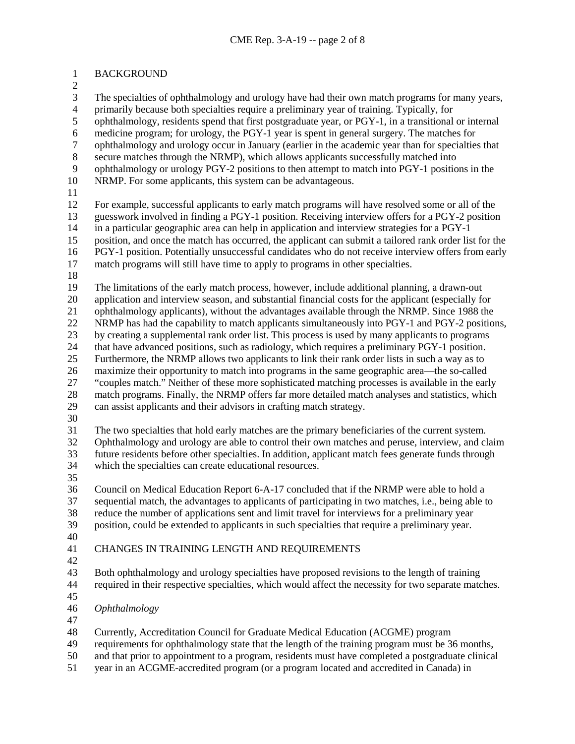BACKGROUND

3 The specialties of ophthalmology and urology have had their own match programs for many years,<br>4 primarily because both specialties require a preliminary year of training. Typically, for 4 primarily because both specialties require a preliminary year of training. Typically, for ophthalmology, residents spend that first postgraduate year, or PGY-1, in a transitional ophthalmology, residents spend that first postgraduate year, or PGY-1, in a transitional or internal 6 medicine program; for urology, the PGY-1 year is spent in general surgery. The matches for ophthalmology and urology occur in January (earlier in the academic year than for specialties ophthalmology and urology occur in January (earlier in the academic year than for specialties that 8 secure matches through the NRMP), which allows applicants successfully matched into<br>9 ophthalmology or urology PGY-2 positions to then attempt to match into PGY-1 position ophthalmology or urology PGY-2 positions to then attempt to match into PGY-1 positions in the NRMP. For some applicants, this system can be advantageous. For example, successful applicants to early match programs will have resolved some or all of the guesswork involved in finding a PGY-1 position. Receiving interview offers for a PGY-2 position in a particular geographic area can help in application and interview strategies for a PGY-1 position, and once the match has occurred, the applicant can submit a tailored rank order list for the

PGY-1 position. Potentially unsuccessful candidates who do not receive interview offers from early

- match programs will still have time to apply to programs in other specialties.
- 

 The limitations of the early match process, however, include additional planning, a drawn-out application and interview season, and substantial financial costs for the applicant (especially for

ophthalmology applicants), without the advantages available through the NRMP. Since 1988 the

NRMP has had the capability to match applicants simultaneously into PGY-1 and PGY-2 positions,

 by creating a supplemental rank order list. This process is used by many applicants to programs that have advanced positions, such as radiology, which requires a preliminary PGY-1 position.

Furthermore, the NRMP allows two applicants to link their rank order lists in such a way as to

maximize their opportunity to match into programs in the same geographic area—the so-called

 "couples match." Neither of these more sophisticated matching processes is available in the early match programs. Finally, the NRMP offers far more detailed match analyses and statistics, which

- can assist applicants and their advisors in crafting match strategy.
- $\frac{30}{31}$

The two specialties that hold early matches are the primary beneficiaries of the current system.

 Ophthalmology and urology are able to control their own matches and peruse, interview, and claim future residents before other specialties. In addition, applicant match fees generate funds through which the specialties can create educational resources.

 Council on Medical Education Report 6-A-17 concluded that if the NRMP were able to hold a sequential match, the advantages to applicants of participating in two matches, i.e., being able to reduce the number of applications sent and limit travel for interviews for a preliminary year position, could be extended to applicants in such specialties that require a preliminary year.

- 
- CHANGES IN TRAINING LENGTH AND REQUIREMENTS
- 

 Both ophthalmology and urology specialties have proposed revisions to the length of training required in their respective specialties, which would affect the necessity for two separate matches.

- 
- *Ophthalmology*
- 

Currently, Accreditation Council for Graduate Medical Education (ACGME) program

requirements for ophthalmology state that the length of the training program must be 36 months,

and that prior to appointment to a program, residents must have completed a postgraduate clinical

year in an ACGME-accredited program (or a program located and accredited in Canada) in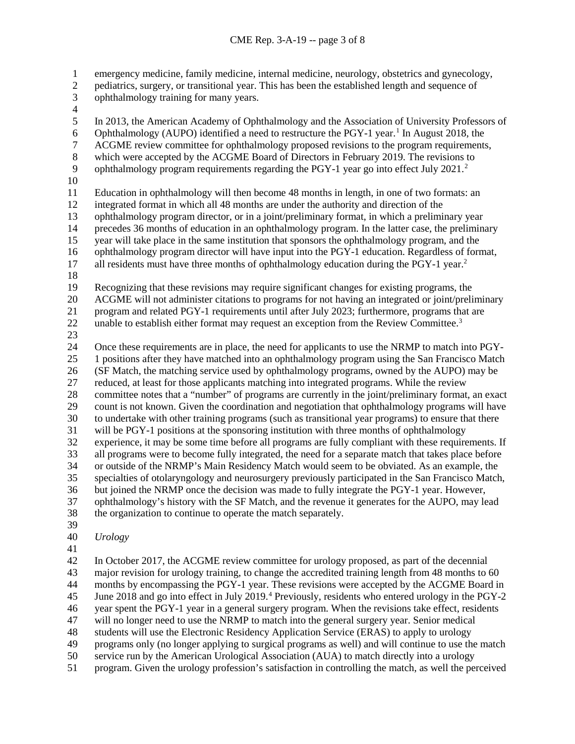1 emergency medicine, family medicine, internal medicine, neurology, obstetrics and gynecology, pediatrics, surgery, or transitional year. This has been the established length and sequence of

- pediatrics, surgery, or transitional year. This has been the established length and sequence of
- ophthalmology training for many years.
- $\frac{4}{5}$

<span id="page-2-5"></span><span id="page-2-4"></span><span id="page-2-3"></span><span id="page-2-2"></span><span id="page-2-1"></span><span id="page-2-0"></span> In 2013, the American Academy of Ophthalmology and the Association of University Professors of 6 Ophthalmology (AUPO) identified a need to restructure the PGY-[1](#page-2-0) year.<sup>1</sup> In August 2018, the ACGME review committee for ophthalmology proposed revisions to the program requirements ACGME review committee for ophthalmology proposed revisions to the program requirements, 8 which were accepted by the ACGME Board of Directors in February 2019. The revisions to<br>9 ophthalmology program requirements regarding the PGY-1 year go into effect July 2021.<sup>2</sup> 9 ophthalmology program requirements regarding the PGY-1 year go into effect July  $2021$ . Education in ophthalmology will then become 48 months in length, in one of two formats: an integrated format in which all 48 months are under the authority and direction of the ophthalmology program director, or in a joint/preliminary format, in which a preliminary year precedes 36 months of education in an ophthalmology program. In the latter case, the preliminary year will take place in the same institution that sponsors the ophthalmology program, and the ophthalmology program director will have input into the PGY-1 education. Regardless of format, 17 all residents must have three months of ophthalmology education during the PGY-1 year.<sup>2</sup> Recognizing that these revisions may require significant changes for existing programs, the ACGME will not administer citations to programs for not having an integrated or joint/preliminary program and related PGY-1 requirements until after July 2023; furthermore, programs that are 22 unable to establish either format may request an exception from the Review Committee.<sup>[3](#page-2-2)</sup>  $\frac{23}{24}$  Once these requirements are in place, the need for applicants to use the NRMP to match into PGY- 1 positions after they have matched into an ophthalmology program using the San Francisco Match (SF Match, the matching service used by ophthalmology programs, owned by the AUPO) may be reduced, at least for those applicants matching into integrated programs. While the review committee notes that a "number" of programs are currently in the joint/preliminary format, an exact count is not known. Given the coordination and negotiation that ophthalmology programs will have 30 to undertake with other training programs (such as transitional year programs) to ensure that there<br>31 will be PGY-1 positions at the sponsoring institution with three months of ophthalmology will be PGY-1 positions at the sponsoring institution with three months of ophthalmology experience, it may be some time before all programs are fully compliant with these requirements. If all programs were to become fully integrated, the need for a separate match that takes place before or outside of the NRMP's Main Residency Match would seem to be obviated. As an example, the specialties of otolaryngology and neurosurgery previously participated in the San Francisco Match, but joined the NRMP once the decision was made to fully integrate the PGY-1 year. However,

<span id="page-2-8"></span><span id="page-2-7"></span><span id="page-2-6"></span> ophthalmology's history with the SF Match, and the revenue it generates for the AUPO, may lead the organization to continue to operate the match separately.

- 
- *Urology*
- 

 In October 2017, the ACGME review committee for urology proposed, as part of the decennial major revision for urology training, to change the accredited training length from 48 months to 60 months by encompassing the PGY-1 year. These revisions were accepted by the ACGME Board in 5 June 2018 and go into effect in July 2019.<sup>4</sup> Previously, residents who entered urology in the PGY-2 year spent the PGY-1 year in a general surgery program. When the revisions take effect, residents will no longer need to use the NRMP to match into the general surgery year. Senior medical students will use the Electronic Residency Application Service (ERAS) to apply to urology programs only (no longer applying to surgical programs as well) and will continue to use the match service run by the American Urological Association (AUA) to match directly into a urology

program. Given the urology profession's satisfaction in controlling the match, as well the perceived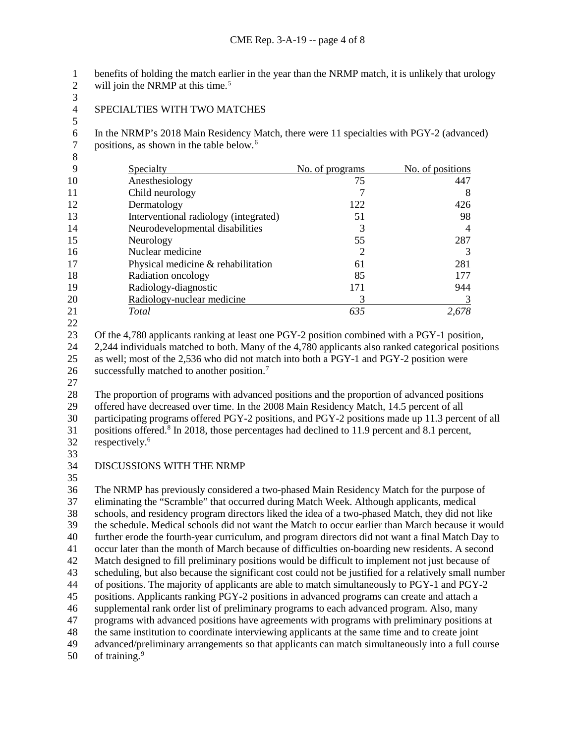1 benefits of holding the match earlier in the year than the NRMP match, it is unlikely that urology will join the NRMP at this time.<sup>5</sup> will join the NRMP at this time.<sup>[5](#page-2-4)</sup>

 $\frac{3}{4}$ 

SPECIALTIES WITH TWO MATCHES

6 In the NRMP's 2018 Main Residency Match, there were 11 specialties with PGY-2 (advanced)<br>7 positions, as shown in the table below.<sup>6</sup> 7 positions, as shown in the table below.<sup>[6](#page-2-5)</sup>

| 9  | Specialty                             | No. of programs | No. of positions |
|----|---------------------------------------|-----------------|------------------|
| 10 | Anesthesiology                        | 75              | 447              |
| 11 | Child neurology                       |                 | 8                |
| 12 | Dermatology                           | 122             | 426              |
| 13 | Interventional radiology (integrated) | 51              | 98               |
| 14 | Neurodevelopmental disabilities       | 3               | 4                |
| 15 | Neurology                             | 55              | 287              |
| 16 | Nuclear medicine                      | 2               |                  |
| 17 | Physical medicine & rehabilitation    | 61              | 281              |
| 18 | Radiation oncology                    | 85              | 177              |
| 19 | Radiology-diagnostic                  | 171             | 944              |
| 20 | Radiology-nuclear medicine            |                 |                  |
| 21 | Total                                 | 635             | 2,678            |

 Of the 4,780 applicants ranking at least one PGY-2 position combined with a PGY-1 position, 2,244 individuals matched to both. Many of the 4,780 applicants also ranked categorical positions as well; most of the 2,536 who did not match into both a PGY-1 and PGY-2 position were

26 successfully matched to another position.<sup>[7](#page-2-6)</sup>

 The proportion of programs with advanced positions and the proportion of advanced positions offered have decreased over time. In the 2008 Main Residency Match, 14.5 percent of all participating programs offered PGY-2 positions, and PGY-2 positions made up 11.3 percent of all

31 positions offered.<sup>[8](#page-2-7)</sup> In 2018, those percentages had declined to 11.9 percent and 8.1 percent, 32 respectively.<sup>6</sup>

DISCUSSIONS WITH THE NRMP

 The NRMP has previously considered a two-phased Main Residency Match for the purpose of eliminating the "Scramble" that occurred during Match Week. Although applicants, medical schools, and residency program directors liked the idea of a two-phased Match, they did not like the schedule. Medical schools did not want the Match to occur earlier than March because it would further erode the fourth-year curriculum, and program directors did not want a final Match Day to occur later than the month of March because of difficulties on-boarding new residents. A second Match designed to fill preliminary positions would be difficult to implement not just because of scheduling, but also because the significant cost could not be justified for a relatively small number of positions. The majority of applicants are able to match simultaneously to PGY-1 and PGY-2 positions. Applicants ranking PGY-2 positions in advanced programs can create and attach a supplemental rank order list of preliminary programs to each advanced program. Also, many programs with advanced positions have agreements with programs with preliminary positions at the same institution to coordinate interviewing applicants at the same time and to create joint advanced/preliminary arrangements so that applicants can match simultaneously into a full course of training.  $9$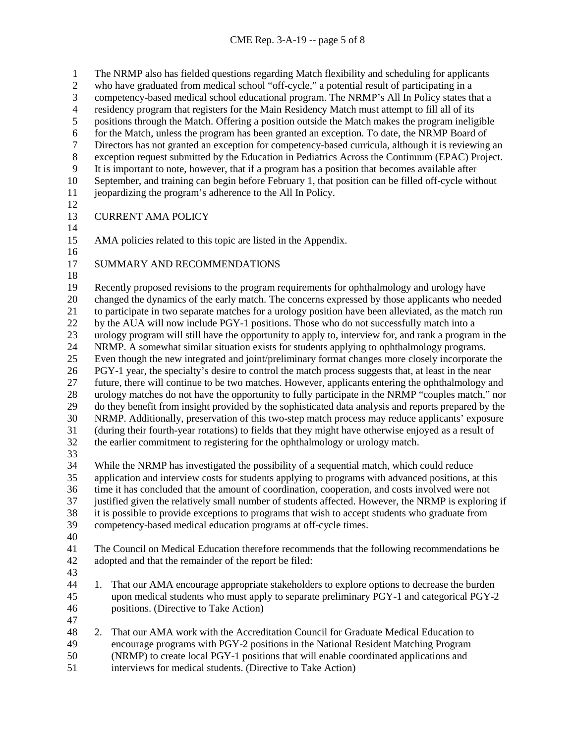1 The NRMP also has fielded questions regarding Match flexibility and scheduling for applicants<br>2 who have graduated from medical school "off-cycle," a potential result of participating in a who have graduated from medical school "off-cycle," a potential result of participating in a 3 competency-based medical school educational program. The NRMP's All In Policy states that a<br>4 residency program that registers for the Main Residency Match must attempt to fill all of its 4 residency program that registers for the Main Residency Match must attempt to fill all of its<br>5 positions through the Match. Offering a position outside the Match makes the program inelig positions through the Match. Offering a position outside the Match makes the program ineligible for the Match, unless the program has been granted an exception. To date, the NRMP Board of Directors has not granted an exception for competency-based curricula, although it is reviewing an 8 exception request submitted by the Education in Pediatrics Across the Continuum (EPAC) Project.<br>9 It is important to note, however, that if a program has a position that becomes available after It is important to note, however, that if a program has a position that becomes available after September, and training can begin before February 1, that position can be filled off-cycle without jeopardizing the program's adherence to the All In Policy. CURRENT AMA POLICY AMA policies related to this topic are listed in the Appendix. SUMMARY AND RECOMMENDATIONS Recently proposed revisions to the program requirements for ophthalmology and urology have changed the dynamics of the early match. The concerns expressed by those applicants who needed to participate in two separate matches for a urology position have been alleviated, as the match run by the AUA will now include PGY-1 positions. Those who do not successfully match into a urology program will still have the opportunity to apply to, interview for, and rank a program in the NRMP. A somewhat similar situation exists for students applying to ophthalmology programs. Even though the new integrated and joint/preliminary format changes more closely incorporate the PGY-1 year, the specialty's desire to control the match process suggests that, at least in the near future, there will continue to be two matches. However, applicants entering the ophthalmology and urology matches do not have the opportunity to fully participate in the NRMP "couples match," nor do they benefit from insight provided by the sophisticated data analysis and reports prepared by the NRMP. Additionally, preservation of this two-step match process may reduce applicants' exposure (during their fourth-year rotations) to fields that they might have otherwise enjoyed as a result of the earlier commitment to registering for the ophthalmology or urology match. While the NRMP has investigated the possibility of a sequential match, which could reduce application and interview costs for students applying to programs with advanced positions, at this time it has concluded that the amount of coordination, cooperation, and costs involved were not justified given the relatively small number of students affected. However, the NRMP is exploring if it is possible to provide exceptions to programs that wish to accept students who graduate from competency-based medical education programs at off-cycle times. The Council on Medical Education therefore recommends that the following recommendations be adopted and that the remainder of the report be filed: 1. That our AMA encourage appropriate stakeholders to explore options to decrease the burden upon medical students who must apply to separate preliminary PGY-1 and categorical PGY-2 positions. (Directive to Take Action) 2. That our AMA work with the Accreditation Council for Graduate Medical Education to encourage programs with PGY-2 positions in the National Resident Matching Program (NRMP) to create local PGY-1 positions that will enable coordinated applications and

interviews for medical students. (Directive to Take Action)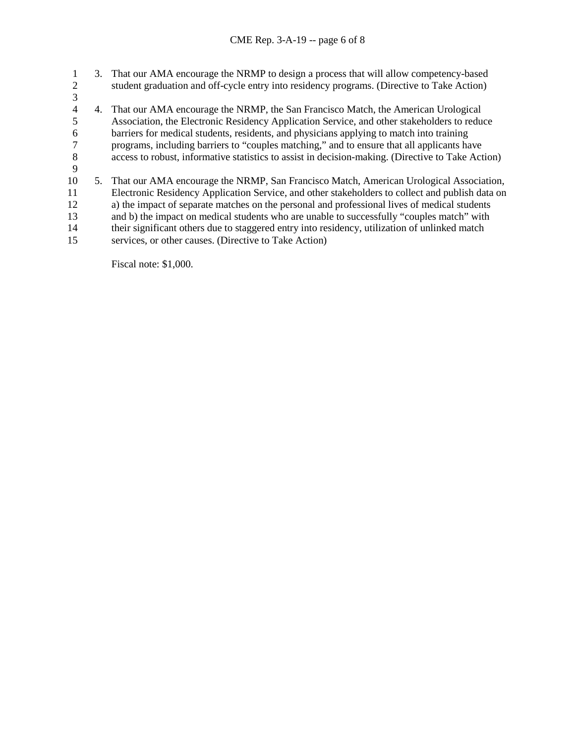1 3. That our AMA encourage the NRMP to design a process that will allow competency-based<br>2 student graduation and off-cycle entry into residency programs. (Directive to Take Action) 2 student graduation and off-cycle entry into residency programs. (Directive to Take Action)  $\frac{3}{4}$ 4 4. That our AMA encourage the NRMP, the San Francisco Match, the American Urological<br>5 Association, the Electronic Residency Application Service, and other stakeholders to redu 5 Association, the Electronic Residency Application Service, and other stakeholders to reduce 6 barriers for medical students, residents, and physicians applying to match into training<br>
programs, including barriers to "couples matching," and to ensure that all applicants has 7 programs, including barriers to "couples matching," and to ensure that all applicants have<br>8 access to robust, informative statistics to assist in decision-making. (Directive to Take Act access to robust, informative statistics to assist in decision-making. (Directive to Take Action) 9 10 5. That our AMA encourage the NRMP, San Francisco Match, American Urological Association, 11 Electronic Residency Application Service, and other stakeholders to collect and publish data on 12 a) the impact of separate matches on the personal and professional lives of medical students 13 and b) the impact on medical students who are unable to successfully "couples match" with 14 their significant others due to staggered entry into residency, utilization of unlinked match 15 services, or other causes. (Directive to Take Action)

Fiscal note: \$1,000.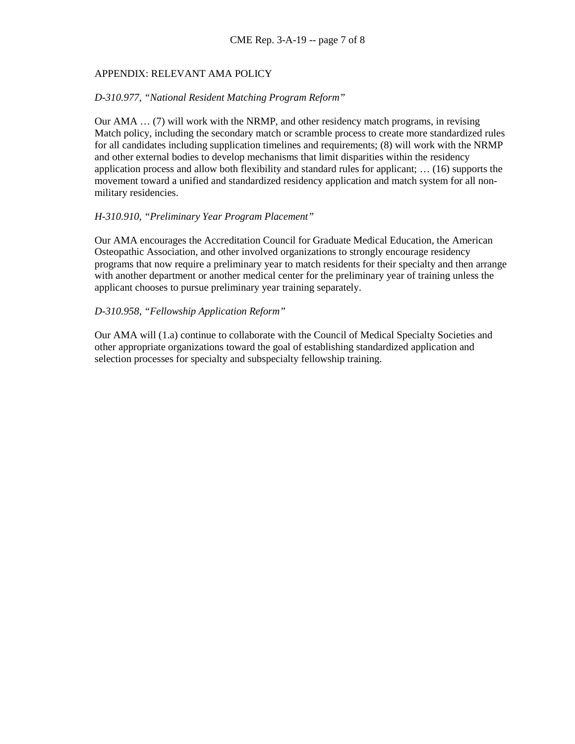# APPENDIX: RELEVANT AMA POLICY

#### *D-310.977, "National Resident Matching Program Reform"*

Our AMA … (7) will work with the NRMP, and other residency match programs, in revising Match policy, including the secondary match or scramble process to create more standardized rules for all candidates including supplication timelines and requirements; (8) will work with the NRMP and other external bodies to develop mechanisms that limit disparities within the residency application process and allow both flexibility and standard rules for applicant; … (16) supports the movement toward a unified and standardized residency application and match system for all nonmilitary residencies.

## *H-310.910, "Preliminary Year Program Placement"*

Our AMA encourages the Accreditation Council for Graduate Medical Education, the American Osteopathic Association, and other involved organizations to strongly encourage residency programs that now require a preliminary year to match residents for their specialty and then arrange with another department or another medical center for the preliminary year of training unless the applicant chooses to pursue preliminary year training separately.

## *D-310.958, "Fellowship Application Reform"*

Our AMA will (1.a) continue to collaborate with the Council of Medical Specialty Societies and other appropriate organizations toward the goal of establishing standardized application and selection processes for specialty and subspecialty fellowship training.